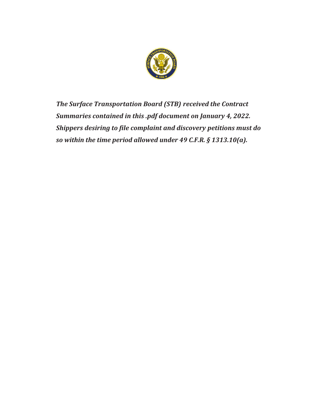

*The Surface Transportation Board (STB) received the Contract Summaries contained in this .pdf document on January 4, 2022. Shippers desiring to file complaint and discovery petitions must do so within the time period allowed under 49 C.F.R. § 1313.10(a).*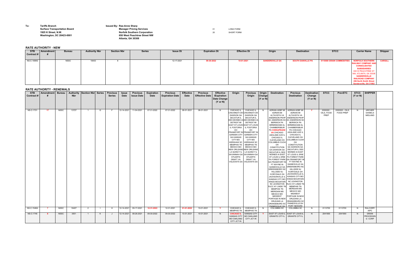| To: | <b>Tariffs Branch</b>               | <b>Issued By: Rae-Anne Sharp</b> |
|-----|-------------------------------------|----------------------------------|
|     | <b>Surface Transportation Board</b> | <b>Manager Pricing</b>           |
|     | 1925 K Street. N.W.                 | <b>Norfolk Souther</b>           |
|     | <b>Washington, DC 20423-0001</b>    | 650 West Peacht                  |

## **Surface Transportation Board CONG FORM CONG FORM CONG FORM CONG FORM CONG FORM CONG FORM CONG FORM CONG FORM 1925 K Street, N.W. Norfolk Southern Corporation** <sup>20</sup> SHORT FORM **Washington, DC 20423-0001 650 West Peachtree Street NW Atlanta, GA 30308**

## **RATE AUTHORITY - NEW**

## **RATE AUTHORITY - RENEWALS**

| <b>STB</b><br>Contract <b>#</b> | Amendment   Bureau |             | <b>Nbr</b> | Authority Section Nbr Series |              | <b>Previous</b><br><b>Series</b> | <b>Issue</b><br>Date | <b>Previous</b><br><b>Issue Date</b> | <b>Expiration</b><br>Date | <b>Previous</b><br><b>Expiration Date</b> | <b>Effective</b><br>Date | <b>Previous</b><br><b>Effective Date</b> | <b>Effective</b><br>/Expiration<br>Date Change<br>$(Y \text{ or } N)$ | Origin                                                                                                                                                                                                                                                                                                                                                | <b>Previous</b><br>Origin                                                                                                                                                                                                                                                                                                                                                                                 | Origin<br>Change<br>(Y or N) | <b>Destination</b>                                                                                                                                                                                                                                                                                                                                                                                                                                                                                                                                                                                                                                      | <b>Previous</b><br><b>Destination</b>                                                                                                                                                                                                                                                                                                                                                                                                                                                                                                                                                                                                                                                                                                                                                                                                                                      | Destination<br>Change<br>$(Y \text{ or } N)$ | <b>STCC</b>                            | <b>PrevSTC</b>              | <b>STCC</b><br>$(Y \text{ or } N)$ | <b>SHIPPER</b>                      |  |
|---------------------------------|--------------------|-------------|------------|------------------------------|--------------|----------------------------------|----------------------|--------------------------------------|---------------------------|-------------------------------------------|--------------------------|------------------------------------------|-----------------------------------------------------------------------|-------------------------------------------------------------------------------------------------------------------------------------------------------------------------------------------------------------------------------------------------------------------------------------------------------------------------------------------------------|-----------------------------------------------------------------------------------------------------------------------------------------------------------------------------------------------------------------------------------------------------------------------------------------------------------------------------------------------------------------------------------------------------------|------------------------------|---------------------------------------------------------------------------------------------------------------------------------------------------------------------------------------------------------------------------------------------------------------------------------------------------------------------------------------------------------------------------------------------------------------------------------------------------------------------------------------------------------------------------------------------------------------------------------------------------------------------------------------------------------|----------------------------------------------------------------------------------------------------------------------------------------------------------------------------------------------------------------------------------------------------------------------------------------------------------------------------------------------------------------------------------------------------------------------------------------------------------------------------------------------------------------------------------------------------------------------------------------------------------------------------------------------------------------------------------------------------------------------------------------------------------------------------------------------------------------------------------------------------------------------------|----------------------------------------------|----------------------------------------|-----------------------------|------------------------------------|-------------------------------------|--|
| <b>NS-C-1701</b>                | 17                 | NSSC        | 13727      |                              | G            |                                  | 12-14-2021           | 11-04-2021                           | 07-31-2022                | 07-31-2022                                | 08-01-2021               | 08-01-2021                               | <b>N</b>                                                              | CHICAGO IL<br>CINCINNATI OF<br><b>DAWSON GA</b><br><b>DECATUR IL</b><br>DES MOINES IA DES MOINES IA<br><b>DETROIT MI</b><br><b>EAST ST LOUIS</b><br>IL FOSTORIA<br>OH<br><b>GARDEN CITY</b><br><b>GA KANSAS</b><br>CITY MO<br><b>KERSHAW SC</b><br><b>MEMPHIS TN</b><br><b>MEXICO MO</b><br>LA QUINCY IL<br>SAVANNAH GA<br>STUARTS<br><b>DRAFT VA</b> | CHICAGO IL<br><b>CINCINNATI OF</b><br>DAWSON GA<br><b>DECATUR IL</b><br><b>DETROIT MI</b><br><b>EAST ST LOUIS</b><br>IL FOSTORIA<br>OH<br>FRANKFORT IN FRANKFORT IN<br><b>GARDEN CITY</b><br><b>GA KANSAS</b><br>CITY MO<br><b>KERSHAW SC</b><br><b>MEMPHIS TN</b><br><b>MEXICO MO</b><br><b>NEW ORLEANS NEW ORLEANS</b><br>LA QUINCY IL<br>SAVANNAH GA<br>STUARTS<br>DRAFT VA<br>VALDOSTA GA VALDOSTA GA | N                            | ADRIAN ADBF MI<br>ADRIAN MI<br>ALTAVISTA VA<br>ANDERSON PKHP<br><b>BERWICK PA</b><br><b>BIRMINGHAM AL</b><br>CHAMBERSBUR<br>PA CHESAPEAKE<br><b>VA</b> CHICAGO<br><b>ASHLAND AVE IL</b><br><b>CHICAGO IL</b><br>CLEVELAND OH<br><b>COLUMBUS CUOH</b><br>OH<br>CONSTITUTION<br>GA FRANKFORT IN FT WAYNE IN<br>FT WAYNE IN<br><b>GAINESVILLE GA</b><br><b>GREENSBORO NC</b><br><b>HILLSIDE NJ</b><br><b>IVORYDALE OH</b><br><b>JACKSONVILLE IL</b><br><b>KINGS MOUNTAIN</b><br><b>NC LEXINGTON</b><br>RJCC KY LINDE TI<br><b>MEMPHIS TN</b><br><b>MERIDIAN MS</b><br><b>MEXICO MO</b><br><b>MIDWEST</b><br>PORTAGE IN NEW<br>ORLEANS LA<br>PAINESVILLE OH | ADRIAN ADBF MI<br>ADRIAN MI<br>ALTAVISTA VA<br><b>ANDERSON PKHP</b><br>SC ANDERSON SC SC ANDERSON SC<br><b>BERWICK PA</b><br><b>BIRMINGHAM AL</b><br>CHAMBERSBUR<br>PA CHICAGO<br>ASHLAND AVE IL<br>CHICAGO IL<br>CLEVELAND OH<br><b>COLUMBUS CUOH</b><br>OH<br>CONSTITUTION<br><b>GA DAWSON GA</b><br>GA DAWSON GA   DECATUR IL DES<br>DECATUR IL DES   MOINES IA EAST<br>MOINES IA EAST ST LOUIS IL ERIE<br>ST LOUIS IL ERIE   PA FOREST PARK<br>PA FOREST PARK GA FRANKFORT IN<br><b>GAINESVILLE GA</b><br><b>GREENSBORO NC</b><br>HILLSIDE NJ<br><b>IVORYDALE OH</b><br>JACKSONVILLE IL<br>KANSAS CITY MO<br>KANSAS CITY MO KINGS MOUNTAIN<br><b>NC LEXINGTON</b><br>RJCC KY LINDE TN<br><b>MEMPHIS TN</b><br><b>MERIDIAN MS</b><br><b>MEXICO MO</b><br><b>MIDWEST</b><br>PORTAGE IN NEW<br>ORLEANS LA<br>ORANGEBURG SC<br>ORANGEBURG SC PAINESVILLE OH<br>PORT NEWARK | $\mathbf{Y}$                                 | 2000000 -<br>OILS, FOOD<br><b>PREP</b> | 2000000 - OILS<br>FOOD PREP | N                                  | ARCHER<br><b>DANIELS</b><br>MIDLAND |  |
| <b>NS-C-1548A</b>               |                    | <b>NSSC</b> | 16407      | 2                            | $\mathbf{I}$ | н                                | 12-14-2021           | 09-17-2021                           | 12-31-2022                | 12-31-2021                                | 01-01-2022               | 10-01-2021                               | - Y                                                                   | CHICAGO IL<br><b>MEMPHIS TN</b>                                                                                                                                                                                                                                                                                                                       | CHICAGO IL<br><b>MEMPHIS TN</b>                                                                                                                                                                                                                                                                                                                                                                           | <b>N</b>                     | COLUMBIA SC                                                                                                                                                                                                                                                                                                                                                                                                                                                                                                                                                                                                                                             | COLUMBIA SC                                                                                                                                                                                                                                                                                                                                                                                                                                                                                                                                                                                                                                                                                                                                                                                                                                                                | N.                                           | 0113700                                | 0113700                     | N                                  | RALCORP/<br><b>AIPC</b>             |  |
| <b>NS-C-1746</b>                |                    | <b>NSSC</b> | 3551       | $\overline{1}$               | K            | . J                              | 12-14-2021           | 08-26-2021                           | 09-30-2022                | 09-30-2022                                | 10-01-2021               | 10-01-2021                               | N                                                                     | <b>CHICAGO IL</b><br><b>KANSAS CITY</b><br><b>MO OAKLAND</b><br>CITY JCT IN                                                                                                                                                                                                                                                                           | <b>KANSAS CITY</b><br><b>MO OAKLAND</b><br>CITY JCT IN                                                                                                                                                                                                                                                                                                                                                    |                              | <b>GRANITE CITY IL</b>                                                                                                                                                                                                                                                                                                                                                                                                                                                                                                                                                                                                                                  | EAST ST LOUIS IL   EAST ST LOUIS IL<br><b>GRANITE CITY IL</b>                                                                                                                                                                                                                                                                                                                                                                                                                                                                                                                                                                                                                                                                                                                                                                                                              | N.                                           | 2041900                                | 2041900                     | N.                                 | <b>GRAIN</b><br>PROCESSII<br>G CORP |  |

| <b>STB</b>        | Amendment | <b>Bureau</b> | <b>Authority Nbr</b> | <b>Section Nbr</b> | <b>Series</b> | <b>Issue Dt</b> | <b>Expiration Dt</b> | <b>Effective Dt</b> | Origin                 | <b>Destination</b>       | <b>STCC</b>               | <b>Carrier Name</b>                                                                                                                                                                                                                                             | Shipper        |  |
|-------------------|-----------|---------------|----------------------|--------------------|---------------|-----------------|----------------------|---------------------|------------------------|--------------------------|---------------------------|-----------------------------------------------------------------------------------------------------------------------------------------------------------------------------------------------------------------------------------------------------------------|----------------|--|
| Contract#         |           |               |                      |                    |               |                 |                      |                     |                        |                          |                           |                                                                                                                                                                                                                                                                 |                |  |
| <b>NS-C-1699G</b> |           | <b>NSSC</b>   | 18403                |                    |               | 12-17-2021      | 09-30-2022           | 10-01-2021          | <b>SANDERSVILLE GA</b> | <b>SOUTH DANVILLE PA</b> | 0110000 GRAIN COMMODITIES | <b>NORFOLK SOUTHERN</b><br><b>RAILWAY COMPANY AND</b><br><b>CONSOLIDATED</b><br><b>SUBSIDIARIES</b><br><b>650 W PEACHTREE ST</b><br>NW, ATLANTA, GA 30308<br><b>SANDERSVILLE</b><br><b>RAILROAD COMPANY</b><br>206 North Smith Street<br>Sandersville, GA 31082 | <b>CARGILL</b> |  |